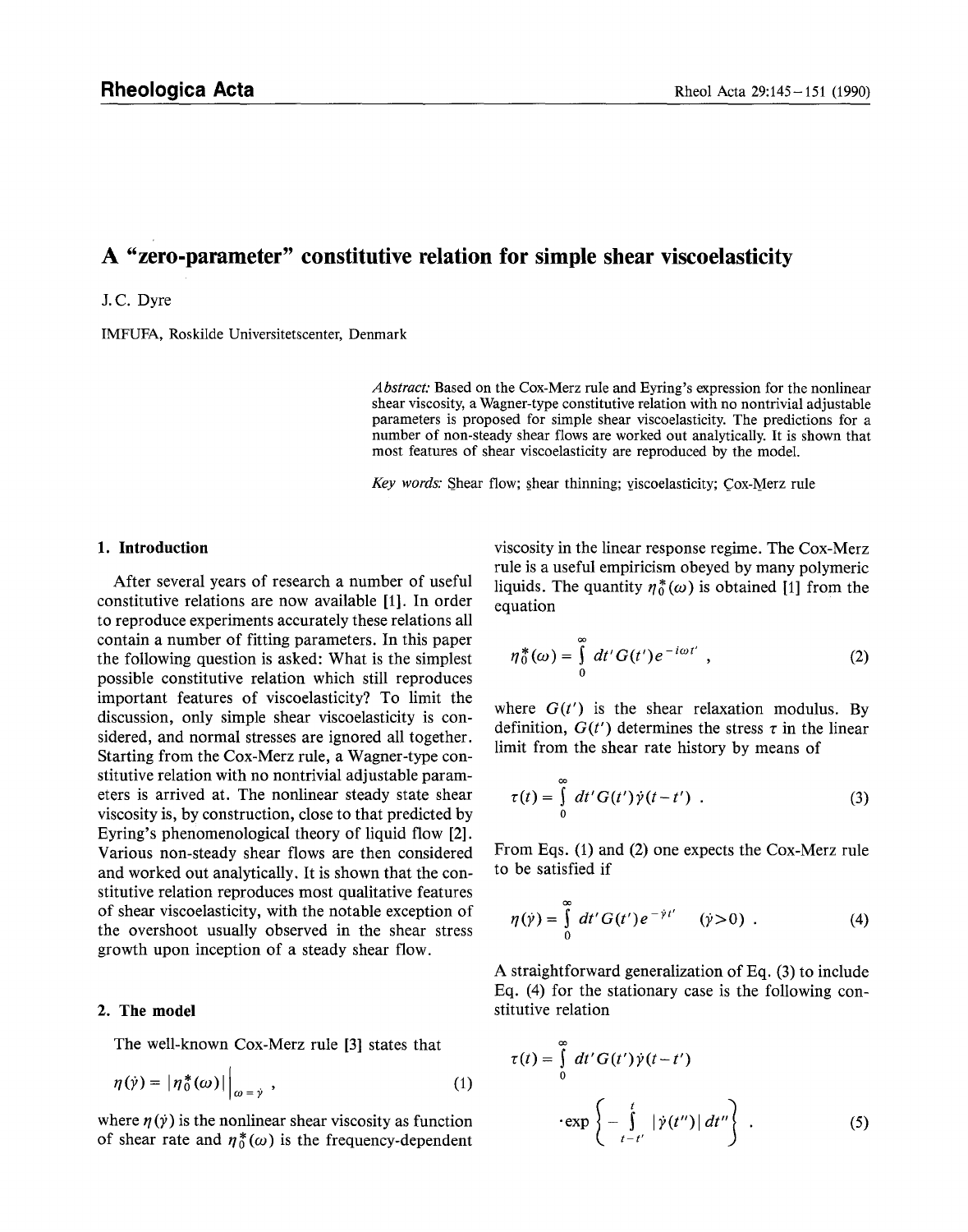# **A "zero-parameter" constitutive relation for simple shear viscoelasticity**

#### J.C. Dyre

IMFUFA, Roskilde Universitetscenter, Denmark

*Abstract."* Based on the Cox-Merz rule and Eyring's expression for the nonlinear shear viscosity, a Wagner-type constitutive relation with no nontrivial adjustable parameters is proposed for simple shear viscoelasticity. The predictions for a number of non-steady shear flows are worked out analytically. It is shown that most features of shear viscoelasticity are reproduced by the model.

*Key words:* Shear flow; shear thinning; viscoelasticity; Cox-Merz rule

## **1. Introduction**

After several years of research a number of useful constitutive relations are now available [1]. In order to reproduce experiments accurately these relations all contain a number of fitting parameters. In this paper the following question is asked: What is the simplest possible constitutive relation which still reproduces important features of viscoelasticity? To limit the discussion, only simple shear viscoelasticity is considered, and normal stresses are ignored all together. Starting from the Cox-Merz rule, a Wagner-type constitutive relation with no nontrivial adjustable parameters is arrived at. The nonlinear steady state shear viscosity is, by construction, close to that predicted by Eyring's phenomenological theory of liquid flow [2]. Various non-steady shear flows are then considered and worked out analytically. It is shown that the constitutive relation reproduces most qualitative features of shear viscoelasticity, with the notable exception of the overshoot usually observed in the shear stress growth upon inception of a steady shear flow.

## **2. The model**

The well-known Cox-Merz rule [3] states that

$$
\eta(\dot{\gamma}) = |\eta_0^*(\omega)|\Big|_{\omega = \dot{\gamma}}, \qquad (1)
$$

where  $\eta(y)$  is the nonlinear shear viscosity as function of shear rate and  $\eta_0^*(\omega)$  is the frequency-dependent viscosity in the linear response regime. The Cox-Merz rule is a useful empiricism obeyed by many polymeric liquids. The quantity  $\eta_0^*(\omega)$  is obtained [1] from the equation

$$
\eta_0^*(\omega) = \int\limits_0^\infty dt' G(t') e^{-i\omega t'} , \qquad (2)
$$

where  $G(t')$  is the shear relaxation modulus. By definition,  $G(t')$  determines the stress  $\tau$  in the linear limit from the shear rate history by means of

$$
\tau(t) = \int_{0}^{\infty} dt' G(t') \dot{\gamma}(t - t') . \qquad (3)
$$

From Eqs. (1) and (2) one expects the Cox-Merz rule to be satisfied if

$$
\eta(\dot{\gamma}) = \int\limits_0^\infty dt' G(t') e^{-\dot{\gamma}t'} \quad (\dot{\gamma} > 0) \quad . \tag{4}
$$

A straightforward generalization of Eq. (3) to include Eq. (4) for the stationary case is the following constitutive relation

$$
\tau(t) = \int_{0}^{\infty} dt' G(t') \dot{\gamma}(t-t')
$$

$$
\cdot \exp\left\{-\int_{t-t'}^{t} |\dot{\gamma}(t'')| dt''\right\}.
$$
 (5)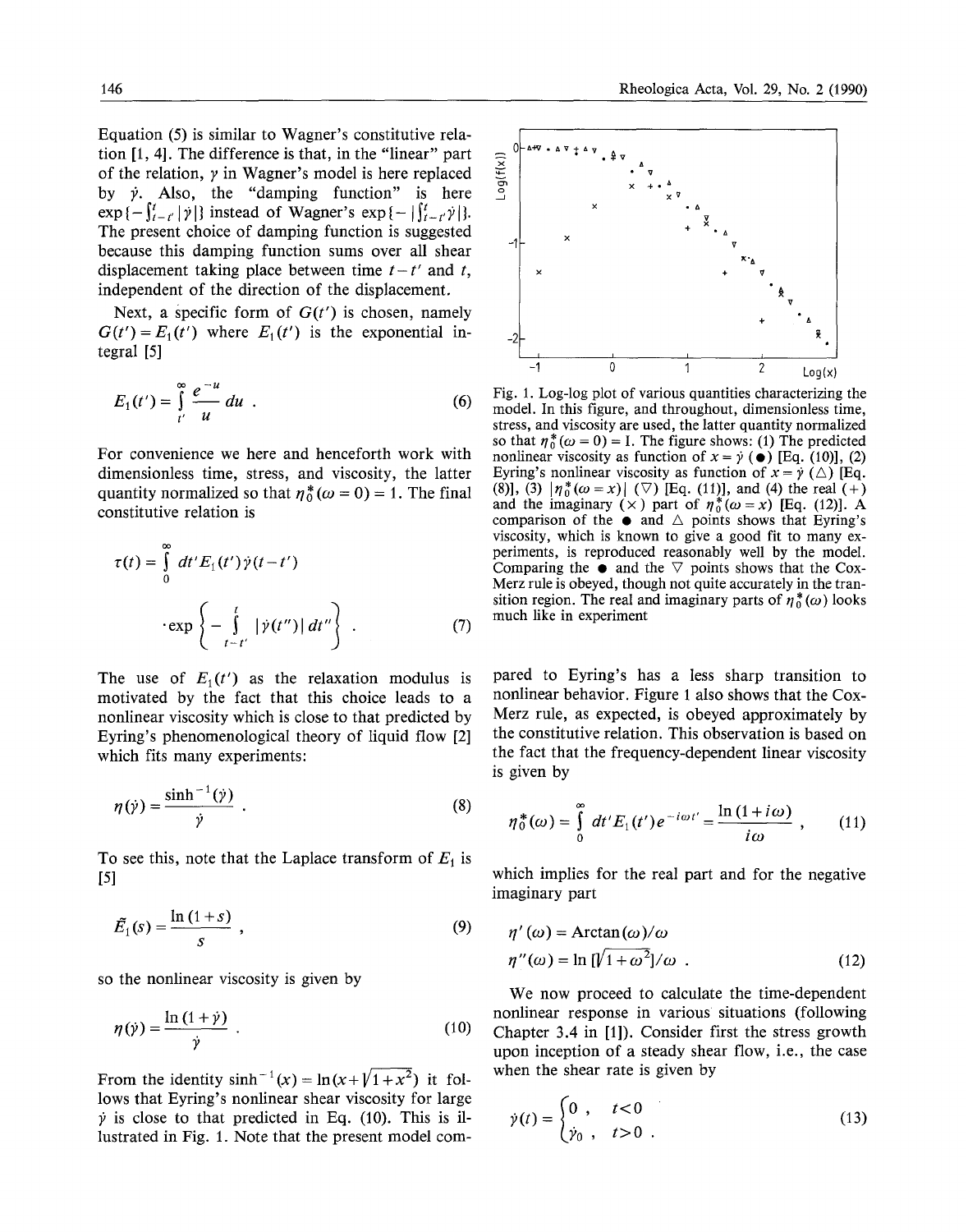Equation (5) is similar to Wagner's constitutive relation  $[1, 4]$ . The difference is that, in the "linear" part of the relation,  $\gamma$  in Wagner's model is here replaced by  $\dot{y}$ . Also, the "damping function" is here  $\exp \{-\int_{t-r}^{t} |\dot{\gamma}| \}$  instead of Wagner's  $\exp \{-\int_{t-r}^{t} \dot{\gamma}| \}.$ The present choice of damping function is suggested because this damping function sums over all shear displacement taking place between time  $t-t'$  and t, independent of the direction of the displacement.

Next, a specific form of  $G(t')$  is chosen, namely  $G(t') = E_1(t')$  where  $E_1(t')$  is the exponential integral [5]

$$
E_1(t') = \int_{t'}^{\infty} \frac{e^{-u}}{u} du . \qquad (6)
$$

For convenience we here and henceforth work with dimensionless time, stress, and viscosity, the latter quantity normalized so that  $\eta_0^*(\omega = 0) = 1$ . The final constitutive relation is

$$
\tau(t) = \int_{0}^{\infty} dt' E_1(t') \dot{\gamma}(t - t')
$$

$$
\cdot \exp\left\{-\int_{t - t'}^{t} |\dot{\gamma}(t'')| dt''\right\}.
$$
 (7)

The use of  $E_1(t')$  as the relaxation modulus is motivated by the fact that this choice leads to a nonlinear viscosity which is close to that predicted by Eyring's phenomenological theory of liquid flow [2] which fits many experiments:

$$
\eta(\gamma) = \frac{\sinh^{-1}(\gamma)}{\dot{\gamma}} \tag{8}
$$

To see this, note that the Laplace transform of  $E_1$  is [51

$$
\tilde{E}_1(s) = \frac{\ln\left(1+s\right)}{s} \tag{9}
$$

so the nonlinear viscosity is given by

$$
\eta(\dot{\gamma}) = \frac{\ln\left(1+\dot{\gamma}\right)}{\dot{\gamma}} \tag{10}
$$

From the identity  $sinh^{-1}(x) = ln(x + \sqrt{1 + x^2})$  it follows that Eyring's nonlinear shear viscosity for large  $\dot{v}$  is close to that predicted in Eq. (10). This is illustrated in Fig. 1. Note that the present model com-



Fig. 1. Log-log plot of various quantities characterizing the model. In this figure, and throughout, dimensionless time, stress, and viscosity are used, the latter quantity normalized so that  $\eta_0^* (\omega = 0) = I$ . The figure shows: (1) The predicted nonlinear viscosity as function of  $x = \dot{y}$  ( $\bullet$ ) [Eq. (10)], (2) Eyring's nonlinear viscosity as function of  $x = \dot{y}$  ( $\triangle$ ) [Eq. (8)], (3)  $|\eta_0^*(\omega = x)|$  ( $\nabla$ ) [Eq. (11)], and (4) the real (+) and the imaginary ( $\times$ ) part of  $\eta^*_{0}(\omega = x)$  [Eq. (12)]. A comparison of the  $\bullet$  and  $\triangle$  points shows that Eyring's viscosity, which is known to give a good fit to many experiments, is reproduced reasonably well by the model. Comparing the  $\bullet$  and the  $\nabla$  points shows that the Cox-Merz rule is obeyed, though not quite accurately in the transition region. The real and imaginary parts of  $\eta_0^*(\omega)$  looks much like in experiment

pared to Eyring's has a less sharp transition to nonlinear behavior. Figure 1 also shows that the Cox-Merz rule, as expected, is obeyed approximately by the constitutive relation. This observation is based on the fact that the frequency-dependent linear viscosity is given by

$$
\eta_0^*(\omega) = \int_0^\infty dt' E_1(t') e^{-i\omega t'} = \frac{\ln(1+i\omega)}{i\omega} \;, \qquad (11)
$$

which implies for the real part and for the negative imaginary part

$$
\eta'(\omega) = \arctan(\omega)/\omega
$$
  
\n
$$
\eta''(\omega) = \ln \left[\sqrt{1 + \omega^2}\right]/\omega
$$
 (12)

We now proceed to calculate the time-dependent nonlinear response in various situations (following Chapter 3.4 in [1]). Consider first the stress growth upon inception of a steady shear flow, i.e., the case when the shear rate is given by

$$
\dot{\gamma}(t) = \begin{cases} 0, & t < 0 \\ \dot{\gamma}_0, & t > 0 \end{cases} \tag{13}
$$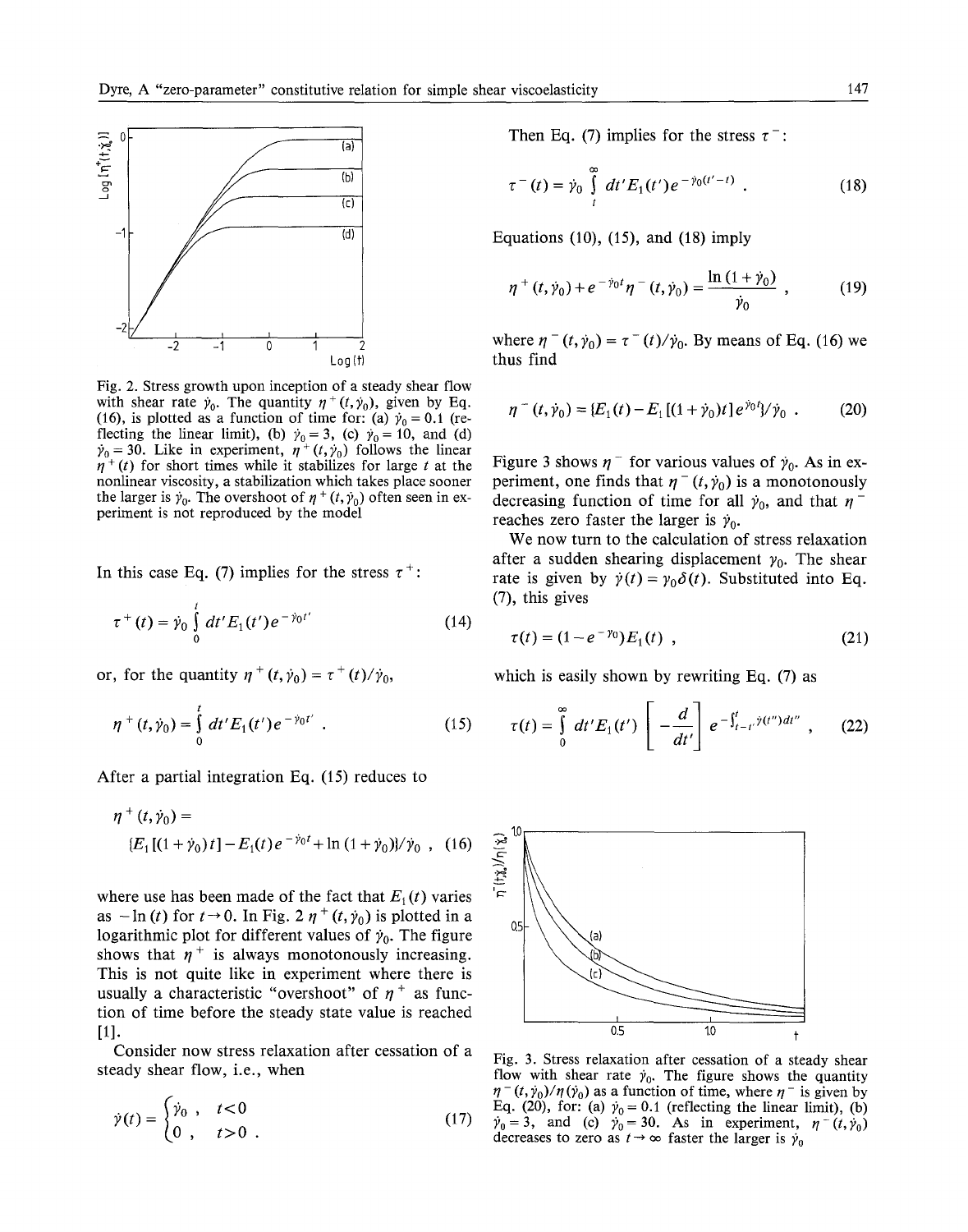

Fig. 2. Stress growth upon inception of a steady shear flow with shear rate  $\dot{\gamma}_0$ . The quantity  $\eta^+(t,\dot{\gamma}_0)$ , given by Eq. (16), is plotted as a function of time for: (a)  $\dot{\gamma}_0 = 0.1$  (reflecting the linear limit), (b)  $\gamma_0 = 3$ , (c)  $\gamma_0 = 10$ , and (d)  $\dot{\gamma}_0 = 30$ . Like in experiment,  $\eta^+(t,\dot{\gamma}_0)$  follows the linear  $\eta^+(t)$  for short times while it stabilizes for large t at the nonlinear viscosity, a stabilization which takes place sooner the larger is  $\dot{\gamma}_0$ . The overshoot of  $\eta^+(t, \dot{\gamma}_0)$  often seen in experiment is not reproduced by the model

In this case Eq. (7) implies for the stress  $\tau^+$ :

$$
\tau^+(t) = \dot{\gamma}_0 \int_0^t dt' E_1(t') e^{-\dot{\gamma}_0 t'} \tag{14}
$$

or, for the quantity  $\eta^+(t, \dot{\gamma}_0) = \tau^+(t)/\dot{\gamma}_0$ ,

$$
\eta^+(t,\dot{\gamma}_0) = \int_0^t dt' E_1(t') e^{-\dot{\gamma}_0 t'} . \qquad (15)
$$

After a partial integration Eq. (15) reduces to

$$
\eta^{+}(t, \dot{\gamma}_{0}) =
$$
  
 
$$
\{E_{1}[(1 + \dot{\gamma}_{0})t] - E_{1}(t)e^{-\dot{\gamma}_{0}t} + \ln(1 + \dot{\gamma}_{0})\}/\dot{\gamma}_{0} , (16)
$$

where use has been made of the fact that  $E_1(t)$  varies as  $-\ln(t)$  for  $t\rightarrow 0$ . In Fig. 2  $\eta^+(t, \dot{\gamma}_0)$  is plotted in a logarithmic plot for different values of  $\dot{\gamma}_0$ . The figure shows that  $\eta^+$  is always monotonously increasing. This is not quite like in experiment where there is usually a characteristic "overshoot" of  $\eta^+$  as function of time before the steady state value is reached [1].

Consider now stress relaxation after cessation of a steady shear flow, i.e., when

$$
\dot{\gamma}(t) = \begin{cases} \dot{\gamma}_0, & t < 0 \\ 0, & t > 0 \end{cases} \tag{17}
$$

Then Eq. (7) implies for the stress  $\tau^-$ :

$$
\tau^{-}(t) = \dot{\gamma}_0 \int\limits_t^{\infty} dt' E_1(t') e^{-\dot{\gamma}_0(t'-t)} . \qquad (18)
$$

Equations (10), (15), and (18) imply

$$
\eta^{+}(t,\dot{\gamma}_{0})+e^{-\dot{\gamma}_{0}t}\eta^{-}(t,\dot{\gamma}_{0})=\frac{\ln(1+\dot{\gamma}_{0})}{\dot{\gamma}_{0}}\,,\qquad\qquad(19)
$$

where  $\eta^{-}(t, \dot{\gamma}_0) = \tau^{-}(t)/\dot{\gamma}_0$ . By means of Eq. (16) we thus find

$$
\eta^-(t,\dot{\gamma}_0) = \{E_1(t) - E_1[(1+\dot{\gamma}_0)t]e^{\dot{\gamma}_0 t} / \dot{\gamma}_0. \qquad (20)
$$

Figure 3 shows  $\eta^-$  for various values of  $\dot{\gamma}_0$ . As in experiment, one finds that  $\eta^{-} (t, \dot{\gamma}_{0})$  is a monotonously decreasing function of time for all  $\dot{y}_0$ , and that  $\eta$ <sup>-</sup> reaches zero faster the larger is  $\dot{\gamma}_0$ .

We now turn to the calculation of stress relaxation after a sudden shearing displacement  $y_0$ . The shear rate is given by  $\dot{y}(t) = y_0 \delta(t)$ . Substituted into Eq. (7), this gives

$$
\tau(t) = (1 - e^{-\gamma_0}) E_1(t) \tag{21}
$$

which is easily shown by rewriting Eq. (7) as

$$
\tau(t)=\int\limits_{0}^{\infty}dt'E_1(t')\left[-\frac{d}{dt'}\right]e^{-\int_{t-t'}^{t}\hat{\gamma}(t'')dt''}\ ,\qquad(22)
$$



Fig. 3. Stress relaxation after cessation of a steady shear flow with shear rate  $\dot{\gamma}_0$ . The figure shows the quantity  $\eta^{-}(t, \dot{\gamma}_{0})/\eta(\dot{\gamma}_{0})$  as a function of time, where  $\eta^{-}$  is given by Eq. (20), for: (a)  $\dot{y}_0 = 0.1$  (reflecting the linear limit), (b)  $\dot{\gamma}_0 = 3$ , and (c)  $\dot{\gamma}_0 = 30$ . As in experiment,  $\eta^-(t, \dot{\gamma}_0)$ decreases to zero as  $t \rightarrow \infty$  faster the larger is  $\dot{y}_0$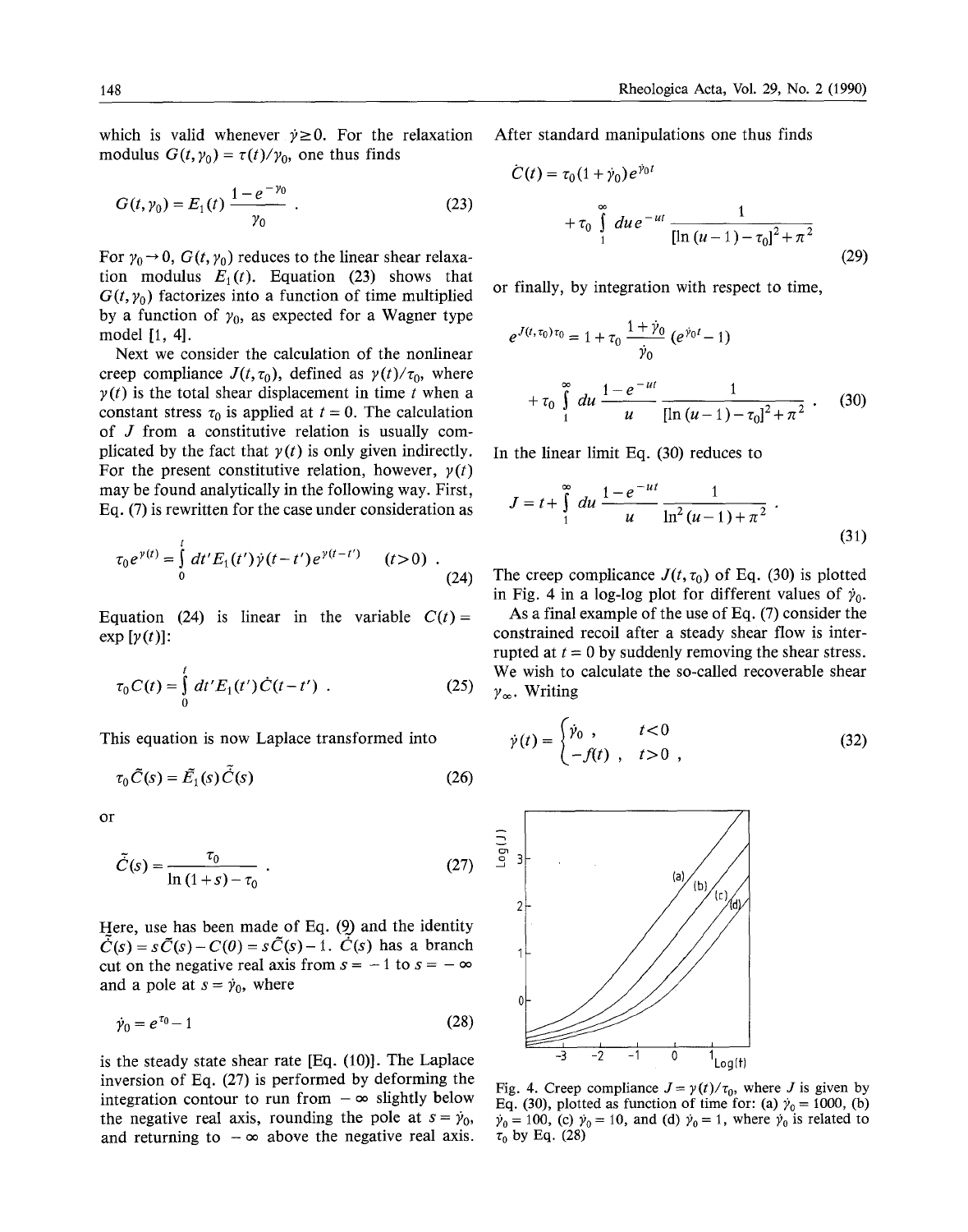which is valid whenever  $\dot{v} \ge 0$ . For the relaxation modulus  $G(t, \gamma_0) = \tau(t)/\gamma_0$ , one thus finds

$$
G(t, \gamma_0) = E_1(t) \frac{1 - e^{-\gamma_0}}{\gamma_0} \ . \tag{23}
$$

For  $\gamma_0 \rightarrow 0$ ,  $G(t, \gamma_0)$  reduces to the linear shear relaxation modulus  $E_1(t)$ . Equation (23) shows that  $G(t, \gamma_0)$  factorizes into a function of time multiplied by a function of  $y_0$ , as expected for a Wagner type model [1, 4].

Next we consider the calculation of the nonlinear creep compliance  $J(t, \tau_0)$ , defined as  $\gamma(t)/\tau_0$ , where  $y(t)$  is the total shear displacement in time t when a constant stress  $\tau_0$  is applied at  $t = 0$ . The calculation of J from a constitutive relation is usually complicated by the fact that  $y(t)$  is only given indirectly. For the present constitutive relation, however,  $y(t)$ may be found analytically in the following way. First, Eq. (7) is rewritten for the case under consideration as

$$
\tau_0 e^{\gamma(t)} = \int_0^t dt' E_1(t') \dot{\gamma}(t-t') e^{\gamma(t-t')} \qquad (t>0) \quad . \tag{24}
$$

Equation (24) is linear in the variable  $C(t) =$  $\exp[\gamma(t)]$ :

$$
\tau_0 C(t) = \int_0^t dt' E_1(t') \dot{C}(t - t') . \qquad (25)
$$

This equation is now Laplace transformed into

$$
\tau_0 \tilde{C}(s) = \tilde{E}_1(s) \tilde{C}(s)
$$
\n(26)

or

$$
\tilde{C}(s) = \frac{\tau_0}{\ln(1+s) - \tau_0} \tag{27}
$$

Here, use has been made of Eq. (9) and the identity  $\tilde{C}(s) = s\tilde{C}(s) - C(0) = s\tilde{C}(s) - 1$ .  $\dot{C}(s)$  has a branch cut on the negative real axis from  $s = -1$  to  $s = -\infty$ and a pole at  $s = \dot{y}_0$ , where

$$
\dot{\gamma}_0 = e^{\tau_0} - 1\tag{28}
$$

is the steady state shear rate [Eq. (10)]. The Laplace inversion of Eq. (27) is performed by deforming the integration contour to run from  $-\infty$  slightly below the negative real axis, rounding the pole at  $s = \dot{\gamma}_0$ , and returning to  $-\infty$  above the negative real axis.

After standard manipulations one thus finds

$$
\dot{C}(t) = \tau_0 (1 + \dot{\gamma}_0) e^{\dot{\gamma}_0 t} + \tau_0 \int_{1}^{\infty} du \, e^{-ut} \, \frac{1}{[\ln (u - 1) - \tau_0]^2 + \pi^2}
$$
 (29)

or finally, by integration with respect to time,

$$
e^{J(t,\tau_0)\tau_0} = 1 + \tau_0 \frac{1 + \dot{\gamma}_0}{\dot{\gamma}_0} (e^{\dot{\gamma}_0 t} - 1)
$$
  
+  $\tau_0 \int_{1}^{\infty} du \frac{1 - e^{-ut}}{u} \frac{1}{[\ln(u - 1) - \tau_0]^2 + \pi^2}$ . (30)

In the linear limit Eq. (30) reduces to

$$
J = t + \int_{1}^{\infty} du \frac{1 - e^{-ut}}{u} \frac{1}{\ln^2(u - 1) + \pi^2}.
$$
 (31)

The creep complicance  $J(t, \tau_0)$  of Eq. (30) is plotted in Fig. 4 in a log-log plot for different values of  $\dot{\gamma}_0$ .

As a final example of the use of Eq. (7) consider the constrained recoil after a steady shear flow is interrupted at  $t = 0$  by suddenly removing the shear stress. We wish to calculate the so-called recoverable shear  $\gamma_{\infty}$ . Writing

$$
\dot{\gamma}(t) = \begin{cases} \dot{\gamma}_0, & t < 0 \\ -f(t), & t > 0 \end{cases} \tag{32}
$$



Fig. 4. Creep compliance  $J = \gamma(t)/\tau_0$ , where J is given by Eq. (30), plotted as function of time for: (a)  $\dot{\gamma}_0 = 1000$ , (b)  $\dot{\gamma}_0 = 100$ , (c)  $\dot{\gamma}_0 = 10$ , and (d)  $\dot{\gamma}_0 = 1$ , where  $\dot{\gamma}_0$  is related to  $\tau_0$  by Eq. (28)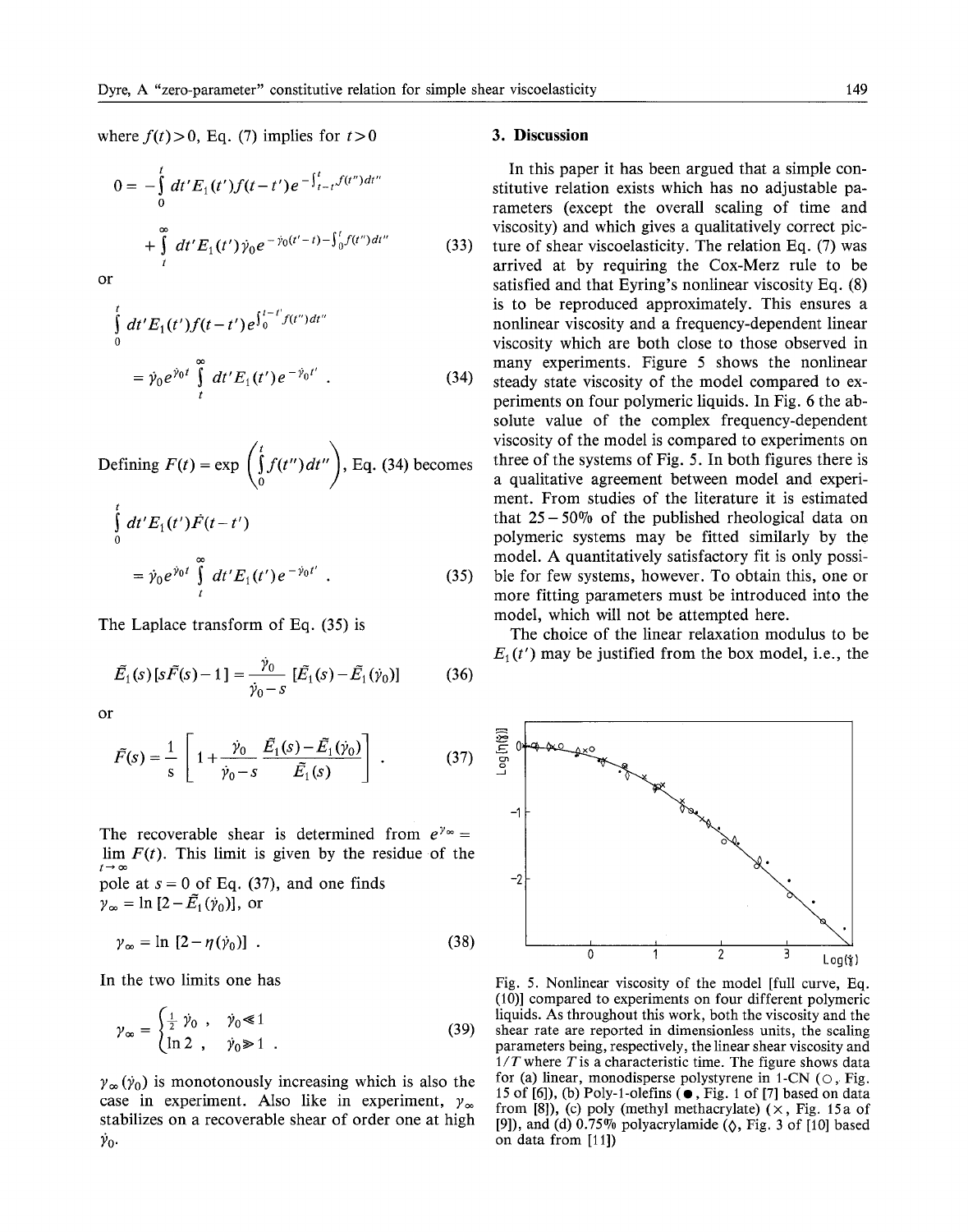where  $f(t) > 0$ , Eq. (7) implies for  $t > 0$ 

$$
0 = -\int_{0}^{t} dt' E_{1}(t') f(t-t') e^{-\int_{t-t}^{t} f(t'') dt''}
$$
  
+ 
$$
\int_{t}^{\infty} dt' E_{1}(t') \dot{\gamma}_{0} e^{-\dot{\gamma}_{0}(t'-t) - \int_{0}^{t} f(t'') dt''}
$$
(33)

or

$$
\int_{0}^{t} dt' E_{1}(t') f(t-t') e^{\int_{0}^{t-t'} f(t'') dt''}
$$
\n
$$
= \dot{\gamma}_{0} e^{\dot{\gamma}_{0}t} \int_{t}^{\infty} dt' E_{1}(t') e^{-\dot{\gamma}_{0}t'} . \qquad (34)
$$

Defining 
$$
F(t) = \exp\left(\int_0^t f(t'') dt''\right)
$$
, Eq. (34) becomes

$$
\int_{0}^{t} dt' E_{1}(t') \dot{F}(t-t')
$$
\n
$$
= \dot{\gamma}_{0} e^{\dot{\gamma}_{0}t} \int_{t}^{\infty} dt' E_{1}(t') e^{-\dot{\gamma}_{0}t'} . \qquad (35)
$$

The Laplace transform of Eq. (35) is

$$
\tilde{E}_1(s)[s\tilde{F}(s)-1] = \frac{\dot{\gamma}_0}{\dot{\gamma}_0 - s} [\tilde{E}_1(s) - \tilde{E}_1(\dot{\gamma}_0)] \tag{36}
$$

or

$$
\tilde{F}(s) = \frac{1}{s} \left[ 1 + \frac{\dot{\gamma}_0}{\dot{\gamma}_0 - s} \frac{\tilde{E}_1(s) - \tilde{E}_1(\dot{\gamma}_0)}{\tilde{E}_1(s)} \right] . \tag{37}
$$

The recoverable shear is determined from  $e^{\gamma \infty} =$  $\lim F(t)$ . This limit is given by the residue of the  $t\rightarrow\infty$ pole at  $s = 0$  of Eq. (37), and one finds  $\gamma_{\infty} = \ln \left[2-\tilde{E}_1(\dot{\gamma}_0)\right],$  or

$$
\gamma_{\infty} = \ln\left[2 - \eta(\dot{\gamma}_0)\right] \tag{38}
$$

In the two limits one has

$$
\gamma_{\infty} = \begin{cases} \frac{1}{2} \ \dot{\gamma}_0 \ , & \dot{\gamma}_0 \ll 1 \\ \ln 2 \ , & \dot{\gamma}_0 \gg 1 \ . \end{cases} \tag{39}
$$

 $\gamma_{\infty}(\dot{\gamma}_0)$  is monotonously increasing which is also the case in experiment. Also like in experiment,  $y_{\infty}$ stabilizes on a recoverable shear of order one at high  $\dot{\gamma}_0$ .

#### **3. Discussion**

In this paper it has been argued that a simple constitutive relation exists which has no adjustable parameters (except the overall scaling of time and viscosity) and which gives a qualitatively correct picture of shear viscoelasticity. The relation Eq. (7) was arrived at by requiring the Cox-Merz rule to be satisfied and that Eyring's nonlinear viscosity Eq. (8) is to be reproduced approximately. This ensures a nonlinear viscosity and a frequency-dependent linear viscosity which are both close to those observed in many experiments. Figure 5 shows the nonlinear steady state viscosity of the model compared to experiments on four polymeric liquids. In Fig. 6 the absolute value of the complex frequency-dependent viscosity of the model is compared to experiments on three of the systems of Fig. 5. In both figures there is a qualitative agreement between model and experiment. From studies of the literature it is estimated that  $25 - 50\%$  of the published rheological data on polymeric systems may be fitted similarly by the model. A quantitatively satisfactory fit is only possible for few systems, however. To obtain this, one or more fitting parameters must be introduced into the model, which will not be attempted here.

The choice of the linear relaxation modulus to be  $E_1(t')$  may be justified from the box model, i.e., the



Fig. 5. Nonlinear viscosity of the model [full curve, Eq. (10)] compared to experiments on four different polymeric liquids. As throughout this work, both the viscosity and the shear rate are reported in dimensionless units, the scaling parameters being, respectively, the linear shear viscosity and *1/T* where *T* is a characteristic time. The figure shows data for (a) linear, monodisperse polystyrene in  $1$ -CN ( $\circ$ , Fig. 15 of  $[6]$ ), (b) Poly-1-olefins  $($   $\bullet$  , Fig. 1 of  $[7]$  based on data from [8]), (c) poly (methyl methacrylate)  $(x, Fig. 15a of$ [9]), and (d)  $0.75\%$  polyacrylamide ( $\lozenge$ , Fig. 3 of [10] based on data from [11])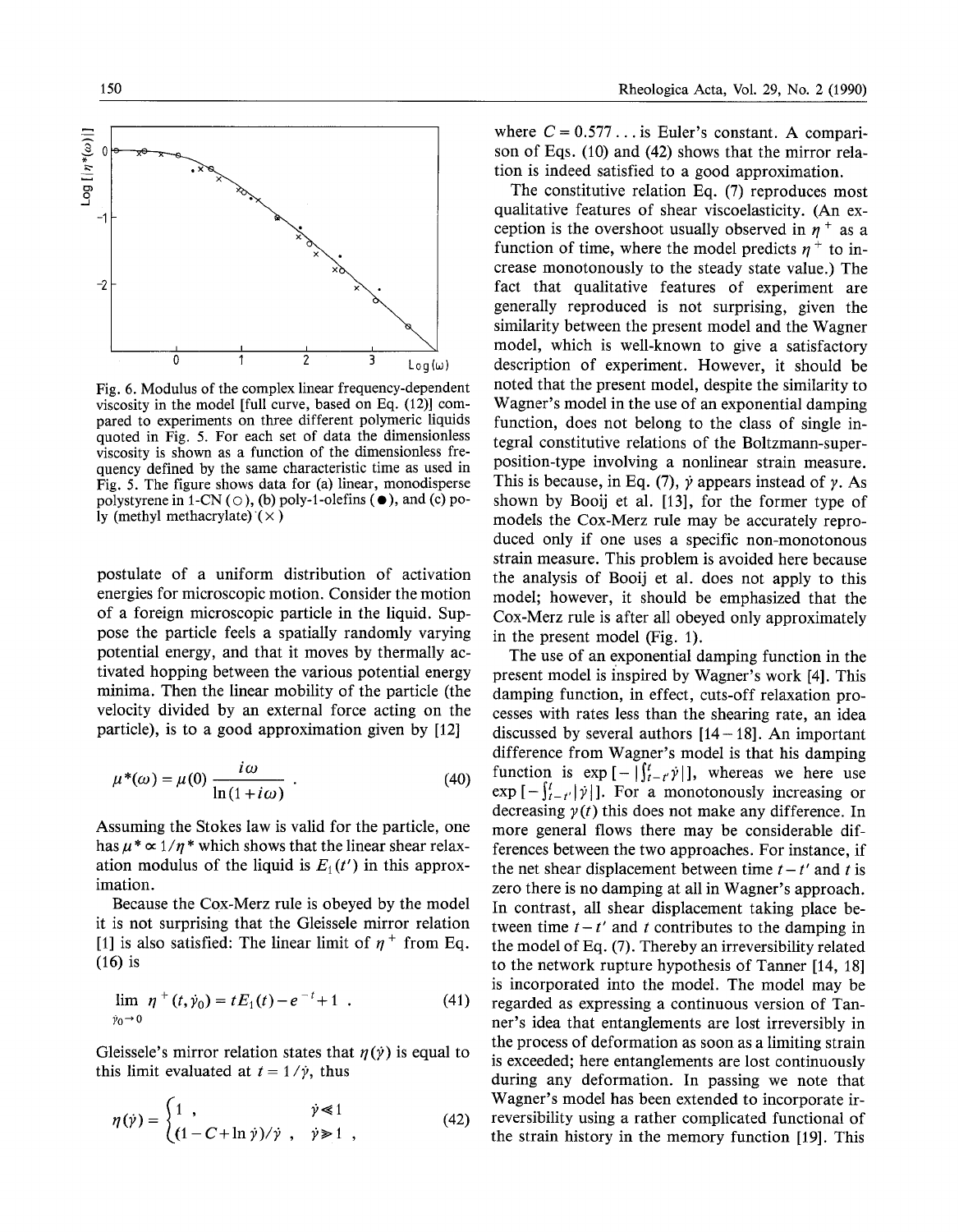

Fig. 6. Modulus of the complex linear frequency-dependent viscosity in the model [full curve, based on Eq. (12)] compared to experiments on three different polymeric liquids quoted in Fig. 5. For each set of data the dimensionless viscosity is shown as a function of the dimensionless frequency defined by the same characteristic time as used in Fig. 5. The figure shows data for (a) linear, monodisperse polystyrene in 1-CN ( $\circ$ ), (b) poly-1-olefins ( $\bullet$ ), and (c) poly (methyl methacrylate)  $(\times)$ 

postulate of a uniform distribution of activation energies for microscopic motion. Consider the motion of a foreign microscopic particle in the liquid. Suppose the particle feels a spatially randomly varying potential energy, and that it moves by thermally activated hopping between the various potential energy minima. Then the linear mobility of the particle (the velocity divided by an external force acting on the particle), is to a good approximation given by [12]

$$
\mu^*(\omega) = \mu(0) \frac{i\omega}{\ln(1+i\omega)} . \tag{40}
$$

Assuming the Stokes law is valid for the particle, one has  $\mu^* \propto 1/n^*$  which shows that the linear shear relaxation modulus of the liquid is  $E_1(t')$  in this approximation.

Because the Cox-Merz rule is obeyed by the model it is not surprising that the Gleissele mirror relation [1] is also satisfied: The linear limit of  $\eta^+$  from Eq. (16) is

$$
\lim_{\dot{y}_0 \to 0} \eta^+(t, \dot{y}_0) = t E_1(t) - e^{-t} + 1 \quad . \tag{41}
$$

Gleissele's mirror relation states that  $\eta(\gamma)$  is equal to this limit evaluated at  $t = 1/\dot{y}$ , thus

$$
\eta(\dot{\gamma}) = \begin{cases} 1, & \dot{\gamma} \ll 1 \\ (1 - C + \ln \dot{\gamma}) / \dot{\gamma}, & \dot{\gamma} \gg 1 \end{cases}
$$
 (42)

where  $C = 0.577...$  is Euler's constant. A comparison of Eqs. (10) and (42) shows that the mirror relation is indeed satisfied to a good approximation.

The constitutive relation Eq. (7) reproduces most qualitative features of shear viscoelasticity. (An exception is the overshoot usually observed in  $\eta^+$  as a function of time, where the model predicts  $\eta^+$  to increase monotonously to the steady state value.) The fact that qualitative features of experiment are generally reproduced is not surprising, given the similarity between the present model and the Wagner model, which is well-known to give a satisfactory description of experiment. However, it should be noted that the present model, despite the similarity to Wagner's model in the use of an exponential damping function, does not belong to the class of single integral constitutive relations of the Boltzmann-superposition-type involving a nonlinear strain measure. This is because, in Eq. (7),  $\dot{y}$  appears instead of  $\dot{y}$ . As shown by Booij et al. [13], for the former type of models the Cox-Merz rule may be accurately reproduced only if one uses a specific non-monotonous strain measure. This problem is avoided here because the analysis of Booij et al. does not apply to this model; however, it should be emphasized that the Cox-Merz rule is after all obeyed only approximately in the present model (Fig. 1).

The use of an exponential damping function in the present model is inspired by Wagner's work [4]. This damping function, in effect, cuts-off relaxation processes with rates less than the shearing rate, an idea discussed by several authors  $[14-18]$ . An important difference from Wagner's model is that his damping function is  $\exp\left[-\left|\int_{t-r}^{t} \dot{y}\right| \right]$ , whereas we here use  $\exp \left[-\int_{t-t'}^{t} |\dot{\gamma}| \right]$ . For a monotonously increasing or decreasing  $\gamma(t)$  this does not make any difference. In more general flows there may be considerable differences between the two approaches. For instance, if the net shear displacement between time  $t - t'$  and t is zero there is no damping at all in Wagner's approach. In contrast, all shear displacement taking place between time  $t-t'$  and t contributes to the damping in the model of Eq. (7). Thereby an irreversibility related to the network rupture hypothesis of Tanner [14, 18] is incorporated into the model. The model may be regarded as expressing a continuous version of Tanner's idea that entanglements are lost irreversibly in the process of deformation as soon as a limiting strain is exceeded; here entanglements are lost continuously during any deformation. In passing we note that Wagner's model has been extended to incorporate itreversibility using a rather complicated functional of the strain history in the memory function [19]. This